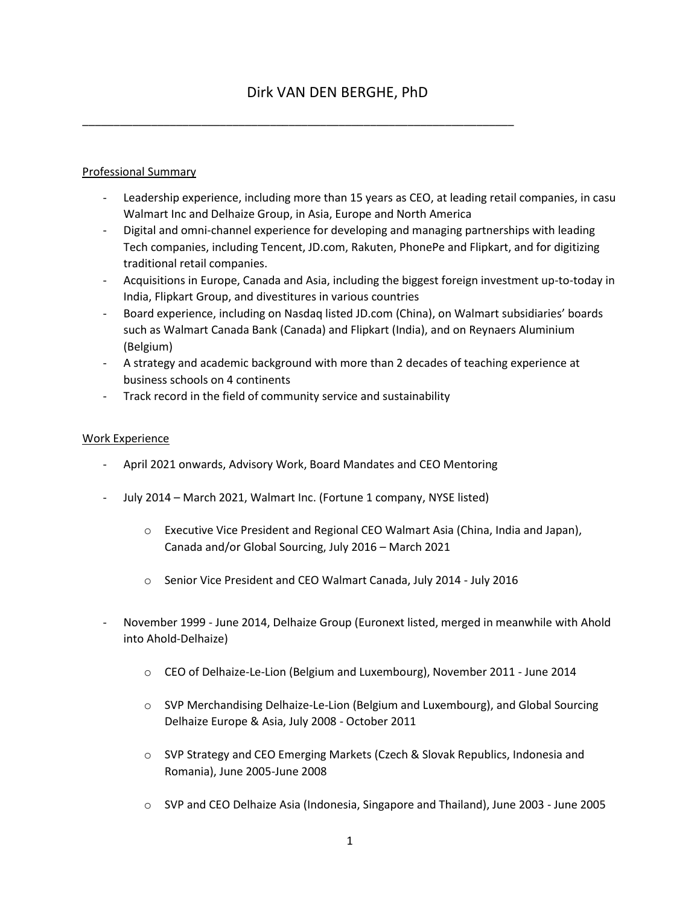# Dirk VAN DEN BERGHE, PhD

\_\_\_\_\_\_\_\_\_\_\_\_\_\_\_\_\_\_\_\_\_\_\_\_\_\_\_\_\_\_\_\_\_\_\_\_\_\_\_\_\_\_\_\_\_\_\_\_\_\_\_\_\_\_\_\_\_\_\_\_\_\_\_\_\_\_\_\_\_

### Professional Summary

- Leadership experience, including more than 15 years as CEO, at leading retail companies, in casu Walmart Inc and Delhaize Group, in Asia, Europe and North America
- Digital and omni-channel experience for developing and managing partnerships with leading Tech companies, including Tencent, JD.com, Rakuten, PhonePe and Flipkart, and for digitizing traditional retail companies.
- Acquisitions in Europe, Canada and Asia, including the biggest foreign investment up-to-today in India, Flipkart Group, and divestitures in various countries
- Board experience, including on Nasdaq listed JD.com (China), on Walmart subsidiaries' boards such as Walmart Canada Bank (Canada) and Flipkart (India), and on Reynaers Aluminium (Belgium)
- A strategy and academic background with more than 2 decades of teaching experience at business schools on 4 continents
- Track record in the field of community service and sustainability

#### Work Experience

- April 2021 onwards, Advisory Work, Board Mandates and CEO Mentoring
- July 2014 March 2021, Walmart Inc. (Fortune 1 company, NYSE listed)
	- o Executive Vice President and Regional CEO Walmart Asia (China, India and Japan), Canada and/or Global Sourcing, July 2016 – March 2021
	- o Senior Vice President and CEO Walmart Canada, July 2014 July 2016
- November 1999 June 2014, Delhaize Group (Euronext listed, merged in meanwhile with Ahold into Ahold-Delhaize)
	- o CEO of Delhaize-Le-Lion (Belgium and Luxembourg), November 2011 June 2014
	- o SVP Merchandising Delhaize-Le-Lion (Belgium and Luxembourg), and Global Sourcing Delhaize Europe & Asia, July 2008 - October 2011
	- o SVP Strategy and CEO Emerging Markets (Czech & Slovak Republics, Indonesia and Romania), June 2005-June 2008
	- o SVP and CEO Delhaize Asia (Indonesia, Singapore and Thailand), June 2003 June 2005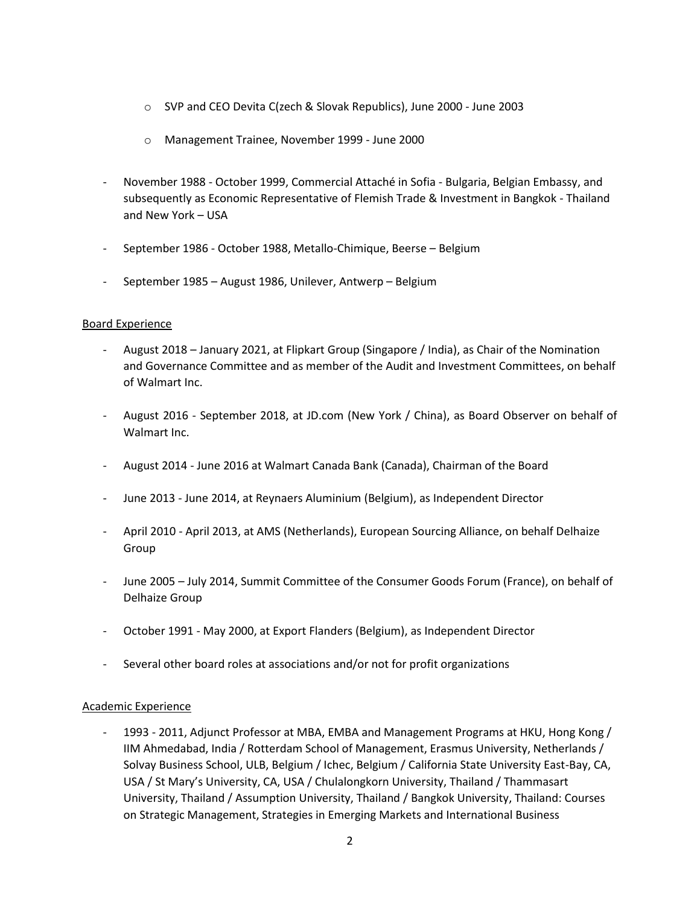- o SVP and CEO Devita C(zech & Slovak Republics), June 2000 June 2003
- o Management Trainee, November 1999 June 2000
- November 1988 October 1999, Commercial Attaché in Sofia Bulgaria, Belgian Embassy, and subsequently as Economic Representative of Flemish Trade & Investment in Bangkok - Thailand and New York – USA
- September 1986 October 1988, Metallo-Chimique, Beerse Belgium
- September 1985 August 1986, Unilever, Antwerp Belgium

### Board Experience

- August 2018 January 2021, at Flipkart Group (Singapore / India), as Chair of the Nomination and Governance Committee and as member of the Audit and Investment Committees, on behalf of Walmart Inc.
- August 2016 September 2018, at JD.com (New York / China), as Board Observer on behalf of Walmart Inc.
- August 2014 June 2016 at Walmart Canada Bank (Canada), Chairman of the Board
- June 2013 June 2014, at Reynaers Aluminium (Belgium), as Independent Director
- April 2010 April 2013, at AMS (Netherlands), European Sourcing Alliance, on behalf Delhaize Group
- June 2005 July 2014, Summit Committee of the Consumer Goods Forum (France), on behalf of Delhaize Group
- October 1991 May 2000, at Export Flanders (Belgium), as Independent Director
- Several other board roles at associations and/or not for profit organizations

### Academic Experience

- 1993 - 2011, Adjunct Professor at MBA, EMBA and Management Programs at HKU, Hong Kong / IIM Ahmedabad, India / Rotterdam School of Management, Erasmus University, Netherlands / Solvay Business School, ULB, Belgium / Ichec, Belgium / California State University East-Bay, CA, USA / St Mary's University, CA, USA / Chulalongkorn University, Thailand / Thammasart University, Thailand / Assumption University, Thailand / Bangkok University, Thailand: Courses on Strategic Management, Strategies in Emerging Markets and International Business